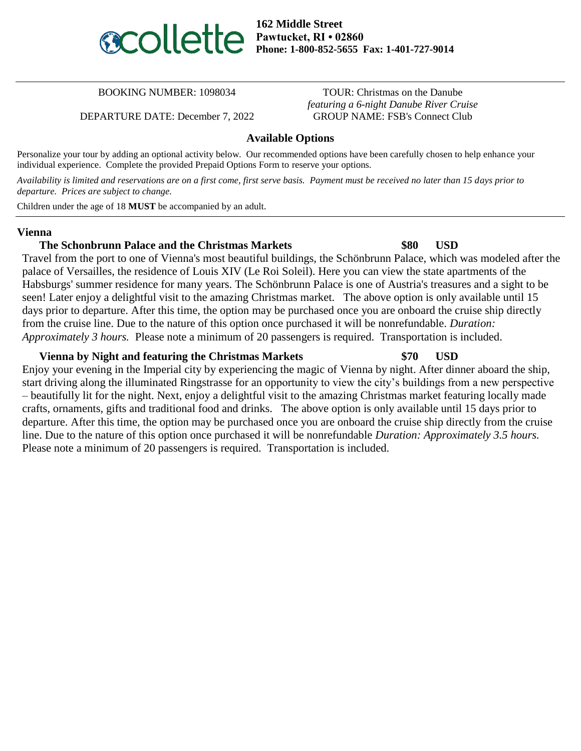**162 Middle Street Pawtucket, RI • 02860 Phone: 1-800-852-5655 Fax: 1-401-727-9014**

DEPARTURE DATE: December 7, 2022 GROUP NAME: FSB's Connect Club

BOOKING NUMBER: 1098034 TOUR: Christmas on the Danube *featuring a 6-night Danube River Cruise*

## **Available Options**

Personalize your tour by adding an optional activity below. Our recommended options have been carefully chosen to help enhance your individual experience. Complete the provided Prepaid Options Form to reserve your options.

*Availability is limited and reservations are on a first come, first serve basis. Payment must be received no later than 15 days prior to departure. Prices are subject to change.*

Children under the age of 18 **MUST** be accompanied by an adult.

## **Vienna**

## **The Schonbrunn Palace and the Christmas Markets \$80 USD**

Travel from the port to one of Vienna's most beautiful buildings, the Schönbrunn Palace, which was modeled after the palace of Versailles, the residence of Louis XIV (Le Roi Soleil). Here you can view the state apartments of the Habsburgs' summer residence for many years. The Schönbrunn Palace is one of Austria's treasures and a sight to be seen! Later enjoy a delightful visit to the amazing Christmas market. The above option is only available until 15 days prior to departure. After this time, the option may be purchased once you are onboard the cruise ship directly from the cruise line. Due to the nature of this option once purchased it will be nonrefundable. *Duration: Approximately 3 hours.* Please note a minimum of 20 passengers is required. Transportation is included.

**Vienna by Night and featuring the Christmas Markets \$70 USD**

Enjoy your evening in the Imperial city by experiencing the magic of Vienna by night. After dinner aboard the ship, start driving along the illuminated Ringstrasse for an opportunity to view the city's buildings from a new perspective – beautifully lit for the night. Next, enjoy a delightful visit to the amazing Christmas market featuring locally made crafts, ornaments, gifts and traditional food and drinks. The above option is only available until 15 days prior to departure. After this time, the option may be purchased once you are onboard the cruise ship directly from the cruise line. Due to the nature of this option once purchased it will be nonrefundable *Duration: Approximately 3.5 hours.* Please note a minimum of 20 passengers is required. Transportation is included.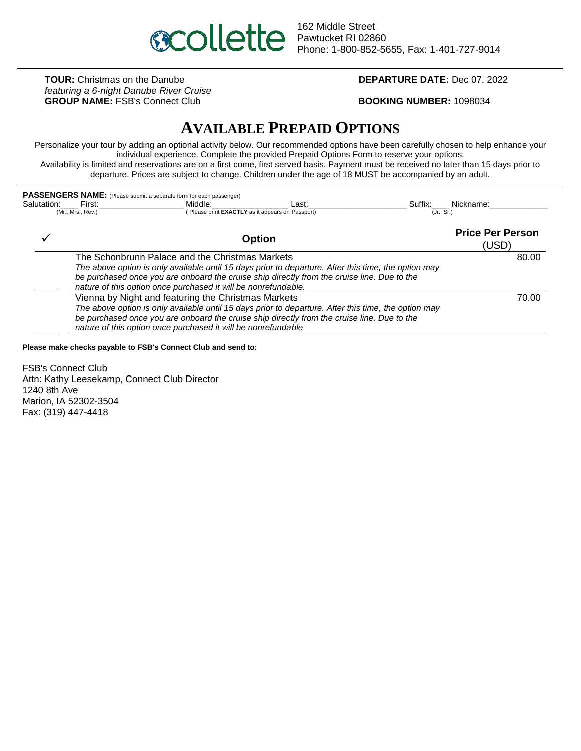

**TOUR:** Christmas on the Danube *featuring a 6-night Danube River Cruise* GROUP NAME: FSB's Connect Club **BOOKING NUMBER:** 1098034

## **DEPARTURE DATE:** Dec 07, 2022

# **AVAILABLE PREPAID OPTIONS**

Personalize your tour by adding an optional activity below. Our recommended options have been carefully chosen to help enhance your individual experience. Complete the provided Prepaid Options Form to reserve your options. Availability is limited and reservations are on a first come, first served basis. Payment must be received no later than 15 days prior to departure. Prices are subject to change. Children under the age of 18 MUST be accompanied by an adult.

| Salutation: | PASSENGERS NAME: (Please submit a separate form for each passenger)<br>Middle:<br>First:<br>Last:<br>(Mr., Mrs., Rev.)<br>(Please print EXACTLY as it appears on Passport)                                                                                                                                                  | Suffix: Nickname:<br>(Jr., Sr.)  |
|-------------|-----------------------------------------------------------------------------------------------------------------------------------------------------------------------------------------------------------------------------------------------------------------------------------------------------------------------------|----------------------------------|
|             | <b>Option</b>                                                                                                                                                                                                                                                                                                               | <b>Price Per Person</b><br>(USD) |
|             | The Schonbrunn Palace and the Christmas Markets<br>The above option is only available until 15 days prior to departure. After this time, the option may<br>be purchased once you are onboard the cruise ship directly from the cruise line. Due to the<br>nature of this option once purchased it will be nonrefundable.    | 80.00                            |
|             | Vienna by Night and featuring the Christmas Markets<br>The above option is only available until 15 days prior to departure. After this time, the option may<br>be purchased once you are onboard the cruise ship directly from the cruise line. Due to the<br>nature of this option once purchased it will be nonrefundable | 70.00                            |

**Please make checks payable to FSB's Connect Club and send to:**

FSB's Connect Club Attn: Kathy Leesekamp, Connect Club Director 1240 8th Ave Marion, IA 52302-3504 Fax: (319) 447-4418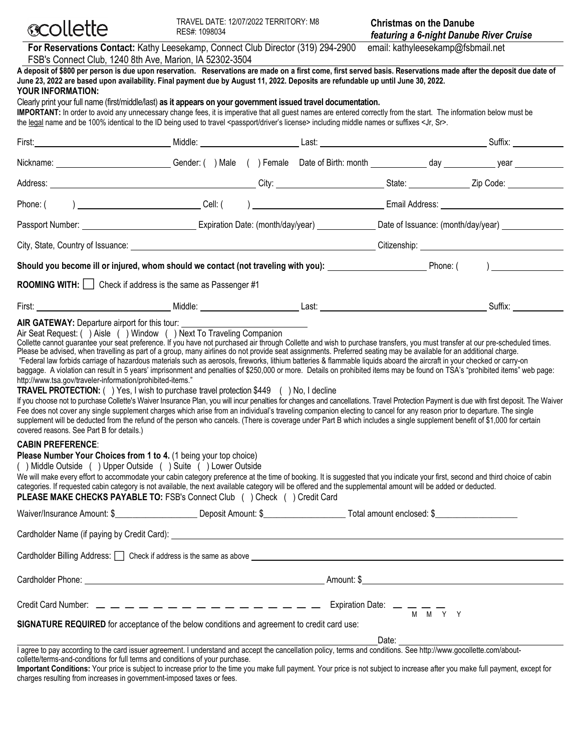| <b>ecollette</b> |
|------------------|
|                  |

**For Reservations Contact:** Kathy Leesekamp, Connect Club Director (319) 294-2900 email: kathyleesekamp@fsbmail.net FSB's Connect Club, 1240 8th Ave, Marion, IA 52302-3504

| Nickname: ___________________________Gender: () Male () Female Date of Birth: month ____________ day ______________ year _____________<br>Passport Number: ___________________________________Expiration Date: (month/day/year) ________________Date of Issuance: (month/day/year) ______________________<br>Should you become ill or injured, whom should we contact (not traveling with you): Phone: (Fig. 2)<br>ROOMING WITH: Check if address is the same as Passenger #1<br>Suffix:<br>AIR GATEWAY: Departure airport for this tour:<br>Air Seat Request: () Aisle () Window () Next To Traveling Companion<br>Collette cannot guarantee your seat preference. If you have not purchased air through Collette and wish to purchase transfers, you must transfer at our pre-scheduled times.<br>Please be advised, when travelling as part of a group, many airlines do not provide seat assignments. Preferred seating may be available for an additional charge.<br>"Federal law forbids carriage of hazardous materials such as aerosols, fireworks, lithium batteries & flammable liquids aboard the aircraft in your checked or carry-on<br>baggage. A violation can result in 5 years' imprisonment and penalties of \$250,000 or more. Details on prohibited items may be found on TSA's "prohibited items" web page:<br>http://www.tsa.gov/traveler-information/prohibited-items."<br><b>TRAVEL PROTECTION:</b> () Yes, I wish to purchase travel protection \$449 () No, I decline<br>If you choose not to purchase Collette's Waiver Insurance Plan, you will incur penalties for changes and cancellations. Travel Protection Payment is due with first deposit. The Waiver<br>Fee does not cover any single supplement charges which arise from an individual's traveling companion electing to cancel for any reason prior to departure. The single<br>supplement will be deducted from the refund of the person who cancels. (There is coverage under Part B which includes a single supplement benefit of \$1,000 for certain<br>covered reasons. See Part B for details.)<br><b>CABIN PREFERENCE:</b><br>Please Number Your Choices from 1 to 4. (1 being your top choice)<br>() Middle Outside () Upper Outside () Suite () Lower Outside<br>We will make every effort to accommodate your cabin category preference at the time of booking. It is suggested that you indicate your first, second and third choice of cabin<br>categories. If requested cabin category is not available, the next available category will be offered and the supplemental amount will be added or deducted.<br>PLEASE MAKE CHECKS PAYABLE TO: FSB's Connect Club ( ) Check ( ) Credit Card<br>$Cardholder Billing Address: \Box Check if address is the same as above$<br>Credit Card Number: $\frac{1}{1}$ $\frac{1}{1}$ $\frac{1}{1}$ $\frac{1}{1}$ $\frac{1}{1}$ $\frac{1}{1}$ $\frac{1}{1}$ $\frac{1}{1}$ $\frac{1}{1}$ $\frac{1}{1}$ $\frac{1}{1}$ $\frac{1}{1}$ $\frac{1}{1}$ $\frac{1}{1}$ $\frac{1}{1}$ $\frac{1}{1}$ $\frac{1}{1}$ $\frac{1}{1}$ $\frac{1}{1}$ $\frac{1}{1}$<br>SIGNATURE REQUIRED for acceptance of the below conditions and agreement to credit card use:<br>Date:<br>Lagree to pay according to the card issuer agreement. I understand and accept the cancellation policy, terms and conditions. See http://www.gocollette.com/about- | A deposit of \$800 per person is due upon reservation. Reservations are made on a first come, first served basis. Reservations made after the deposit due date of<br>June 23, 2022 are based upon availability. Final payment due by August 11, 2022. Deposits are refundable up until June 30, 2022.<br>YOUR INFORMATION:<br>Clearly print your full name (first/middle/last) as it appears on your government issued travel documentation.<br>IMPORTANT: In order to avoid any unnecessary change fees, it is imperative that all guest names are entered correctly from the start. The information below must be<br>the legal name and be 100% identical to the ID being used to travel <passport driver's="" license=""> including middle names or suffixes <jr, sr="">.</jr,></passport> |  |  |  |  |  |
|-------------------------------------------------------------------------------------------------------------------------------------------------------------------------------------------------------------------------------------------------------------------------------------------------------------------------------------------------------------------------------------------------------------------------------------------------------------------------------------------------------------------------------------------------------------------------------------------------------------------------------------------------------------------------------------------------------------------------------------------------------------------------------------------------------------------------------------------------------------------------------------------------------------------------------------------------------------------------------------------------------------------------------------------------------------------------------------------------------------------------------------------------------------------------------------------------------------------------------------------------------------------------------------------------------------------------------------------------------------------------------------------------------------------------------------------------------------------------------------------------------------------------------------------------------------------------------------------------------------------------------------------------------------------------------------------------------------------------------------------------------------------------------------------------------------------------------------------------------------------------------------------------------------------------------------------------------------------------------------------------------------------------------------------------------------------------------------------------------------------------------------------------------------------------------------------------------------------------------------------------------------------------------------------------------------------------------------------------------------------------------------------------------------------------------------------------------------------------------------------------------------------------------------------------------------------------------------------------------------------------------------------------------------------------------------------------------------------------------------------------------------------------------------------------------------------------------------------------------------------------------------------------------------------------------------------------------------------------------------------------------------------------------------------------------------------------------------------------------------------------------------------------------------------------------------------------------------------------------------------------------------------------------------------------------------------------------------------------------------------------|-----------------------------------------------------------------------------------------------------------------------------------------------------------------------------------------------------------------------------------------------------------------------------------------------------------------------------------------------------------------------------------------------------------------------------------------------------------------------------------------------------------------------------------------------------------------------------------------------------------------------------------------------------------------------------------------------------------------------------------------------------------------------------------------------|--|--|--|--|--|
|                                                                                                                                                                                                                                                                                                                                                                                                                                                                                                                                                                                                                                                                                                                                                                                                                                                                                                                                                                                                                                                                                                                                                                                                                                                                                                                                                                                                                                                                                                                                                                                                                                                                                                                                                                                                                                                                                                                                                                                                                                                                                                                                                                                                                                                                                                                                                                                                                                                                                                                                                                                                                                                                                                                                                                                                                                                                                                                                                                                                                                                                                                                                                                                                                                                                                                                                                                         |                                                                                                                                                                                                                                                                                                                                                                                                                                                                                                                                                                                                                                                                                                                                                                                               |  |  |  |  |  |
|                                                                                                                                                                                                                                                                                                                                                                                                                                                                                                                                                                                                                                                                                                                                                                                                                                                                                                                                                                                                                                                                                                                                                                                                                                                                                                                                                                                                                                                                                                                                                                                                                                                                                                                                                                                                                                                                                                                                                                                                                                                                                                                                                                                                                                                                                                                                                                                                                                                                                                                                                                                                                                                                                                                                                                                                                                                                                                                                                                                                                                                                                                                                                                                                                                                                                                                                                                         |                                                                                                                                                                                                                                                                                                                                                                                                                                                                                                                                                                                                                                                                                                                                                                                               |  |  |  |  |  |
|                                                                                                                                                                                                                                                                                                                                                                                                                                                                                                                                                                                                                                                                                                                                                                                                                                                                                                                                                                                                                                                                                                                                                                                                                                                                                                                                                                                                                                                                                                                                                                                                                                                                                                                                                                                                                                                                                                                                                                                                                                                                                                                                                                                                                                                                                                                                                                                                                                                                                                                                                                                                                                                                                                                                                                                                                                                                                                                                                                                                                                                                                                                                                                                                                                                                                                                                                                         |                                                                                                                                                                                                                                                                                                                                                                                                                                                                                                                                                                                                                                                                                                                                                                                               |  |  |  |  |  |
|                                                                                                                                                                                                                                                                                                                                                                                                                                                                                                                                                                                                                                                                                                                                                                                                                                                                                                                                                                                                                                                                                                                                                                                                                                                                                                                                                                                                                                                                                                                                                                                                                                                                                                                                                                                                                                                                                                                                                                                                                                                                                                                                                                                                                                                                                                                                                                                                                                                                                                                                                                                                                                                                                                                                                                                                                                                                                                                                                                                                                                                                                                                                                                                                                                                                                                                                                                         |                                                                                                                                                                                                                                                                                                                                                                                                                                                                                                                                                                                                                                                                                                                                                                                               |  |  |  |  |  |
|                                                                                                                                                                                                                                                                                                                                                                                                                                                                                                                                                                                                                                                                                                                                                                                                                                                                                                                                                                                                                                                                                                                                                                                                                                                                                                                                                                                                                                                                                                                                                                                                                                                                                                                                                                                                                                                                                                                                                                                                                                                                                                                                                                                                                                                                                                                                                                                                                                                                                                                                                                                                                                                                                                                                                                                                                                                                                                                                                                                                                                                                                                                                                                                                                                                                                                                                                                         |                                                                                                                                                                                                                                                                                                                                                                                                                                                                                                                                                                                                                                                                                                                                                                                               |  |  |  |  |  |
|                                                                                                                                                                                                                                                                                                                                                                                                                                                                                                                                                                                                                                                                                                                                                                                                                                                                                                                                                                                                                                                                                                                                                                                                                                                                                                                                                                                                                                                                                                                                                                                                                                                                                                                                                                                                                                                                                                                                                                                                                                                                                                                                                                                                                                                                                                                                                                                                                                                                                                                                                                                                                                                                                                                                                                                                                                                                                                                                                                                                                                                                                                                                                                                                                                                                                                                                                                         |                                                                                                                                                                                                                                                                                                                                                                                                                                                                                                                                                                                                                                                                                                                                                                                               |  |  |  |  |  |
|                                                                                                                                                                                                                                                                                                                                                                                                                                                                                                                                                                                                                                                                                                                                                                                                                                                                                                                                                                                                                                                                                                                                                                                                                                                                                                                                                                                                                                                                                                                                                                                                                                                                                                                                                                                                                                                                                                                                                                                                                                                                                                                                                                                                                                                                                                                                                                                                                                                                                                                                                                                                                                                                                                                                                                                                                                                                                                                                                                                                                                                                                                                                                                                                                                                                                                                                                                         |                                                                                                                                                                                                                                                                                                                                                                                                                                                                                                                                                                                                                                                                                                                                                                                               |  |  |  |  |  |
|                                                                                                                                                                                                                                                                                                                                                                                                                                                                                                                                                                                                                                                                                                                                                                                                                                                                                                                                                                                                                                                                                                                                                                                                                                                                                                                                                                                                                                                                                                                                                                                                                                                                                                                                                                                                                                                                                                                                                                                                                                                                                                                                                                                                                                                                                                                                                                                                                                                                                                                                                                                                                                                                                                                                                                                                                                                                                                                                                                                                                                                                                                                                                                                                                                                                                                                                                                         |                                                                                                                                                                                                                                                                                                                                                                                                                                                                                                                                                                                                                                                                                                                                                                                               |  |  |  |  |  |
|                                                                                                                                                                                                                                                                                                                                                                                                                                                                                                                                                                                                                                                                                                                                                                                                                                                                                                                                                                                                                                                                                                                                                                                                                                                                                                                                                                                                                                                                                                                                                                                                                                                                                                                                                                                                                                                                                                                                                                                                                                                                                                                                                                                                                                                                                                                                                                                                                                                                                                                                                                                                                                                                                                                                                                                                                                                                                                                                                                                                                                                                                                                                                                                                                                                                                                                                                                         |                                                                                                                                                                                                                                                                                                                                                                                                                                                                                                                                                                                                                                                                                                                                                                                               |  |  |  |  |  |
|                                                                                                                                                                                                                                                                                                                                                                                                                                                                                                                                                                                                                                                                                                                                                                                                                                                                                                                                                                                                                                                                                                                                                                                                                                                                                                                                                                                                                                                                                                                                                                                                                                                                                                                                                                                                                                                                                                                                                                                                                                                                                                                                                                                                                                                                                                                                                                                                                                                                                                                                                                                                                                                                                                                                                                                                                                                                                                                                                                                                                                                                                                                                                                                                                                                                                                                                                                         |                                                                                                                                                                                                                                                                                                                                                                                                                                                                                                                                                                                                                                                                                                                                                                                               |  |  |  |  |  |
|                                                                                                                                                                                                                                                                                                                                                                                                                                                                                                                                                                                                                                                                                                                                                                                                                                                                                                                                                                                                                                                                                                                                                                                                                                                                                                                                                                                                                                                                                                                                                                                                                                                                                                                                                                                                                                                                                                                                                                                                                                                                                                                                                                                                                                                                                                                                                                                                                                                                                                                                                                                                                                                                                                                                                                                                                                                                                                                                                                                                                                                                                                                                                                                                                                                                                                                                                                         |                                                                                                                                                                                                                                                                                                                                                                                                                                                                                                                                                                                                                                                                                                                                                                                               |  |  |  |  |  |
|                                                                                                                                                                                                                                                                                                                                                                                                                                                                                                                                                                                                                                                                                                                                                                                                                                                                                                                                                                                                                                                                                                                                                                                                                                                                                                                                                                                                                                                                                                                                                                                                                                                                                                                                                                                                                                                                                                                                                                                                                                                                                                                                                                                                                                                                                                                                                                                                                                                                                                                                                                                                                                                                                                                                                                                                                                                                                                                                                                                                                                                                                                                                                                                                                                                                                                                                                                         |                                                                                                                                                                                                                                                                                                                                                                                                                                                                                                                                                                                                                                                                                                                                                                                               |  |  |  |  |  |
|                                                                                                                                                                                                                                                                                                                                                                                                                                                                                                                                                                                                                                                                                                                                                                                                                                                                                                                                                                                                                                                                                                                                                                                                                                                                                                                                                                                                                                                                                                                                                                                                                                                                                                                                                                                                                                                                                                                                                                                                                                                                                                                                                                                                                                                                                                                                                                                                                                                                                                                                                                                                                                                                                                                                                                                                                                                                                                                                                                                                                                                                                                                                                                                                                                                                                                                                                                         |                                                                                                                                                                                                                                                                                                                                                                                                                                                                                                                                                                                                                                                                                                                                                                                               |  |  |  |  |  |
|                                                                                                                                                                                                                                                                                                                                                                                                                                                                                                                                                                                                                                                                                                                                                                                                                                                                                                                                                                                                                                                                                                                                                                                                                                                                                                                                                                                                                                                                                                                                                                                                                                                                                                                                                                                                                                                                                                                                                                                                                                                                                                                                                                                                                                                                                                                                                                                                                                                                                                                                                                                                                                                                                                                                                                                                                                                                                                                                                                                                                                                                                                                                                                                                                                                                                                                                                                         |                                                                                                                                                                                                                                                                                                                                                                                                                                                                                                                                                                                                                                                                                                                                                                                               |  |  |  |  |  |
|                                                                                                                                                                                                                                                                                                                                                                                                                                                                                                                                                                                                                                                                                                                                                                                                                                                                                                                                                                                                                                                                                                                                                                                                                                                                                                                                                                                                                                                                                                                                                                                                                                                                                                                                                                                                                                                                                                                                                                                                                                                                                                                                                                                                                                                                                                                                                                                                                                                                                                                                                                                                                                                                                                                                                                                                                                                                                                                                                                                                                                                                                                                                                                                                                                                                                                                                                                         |                                                                                                                                                                                                                                                                                                                                                                                                                                                                                                                                                                                                                                                                                                                                                                                               |  |  |  |  |  |
|                                                                                                                                                                                                                                                                                                                                                                                                                                                                                                                                                                                                                                                                                                                                                                                                                                                                                                                                                                                                                                                                                                                                                                                                                                                                                                                                                                                                                                                                                                                                                                                                                                                                                                                                                                                                                                                                                                                                                                                                                                                                                                                                                                                                                                                                                                                                                                                                                                                                                                                                                                                                                                                                                                                                                                                                                                                                                                                                                                                                                                                                                                                                                                                                                                                                                                                                                                         |                                                                                                                                                                                                                                                                                                                                                                                                                                                                                                                                                                                                                                                                                                                                                                                               |  |  |  |  |  |

collette/terms-and-conditions for full terms and conditions of your purchase. **Important Conditions:** Your price is subject to increase prior to the time you make full payment. Your price is not subject to increase after you make full payment, except for charges resulting from increases in government-imposed taxes or fees.